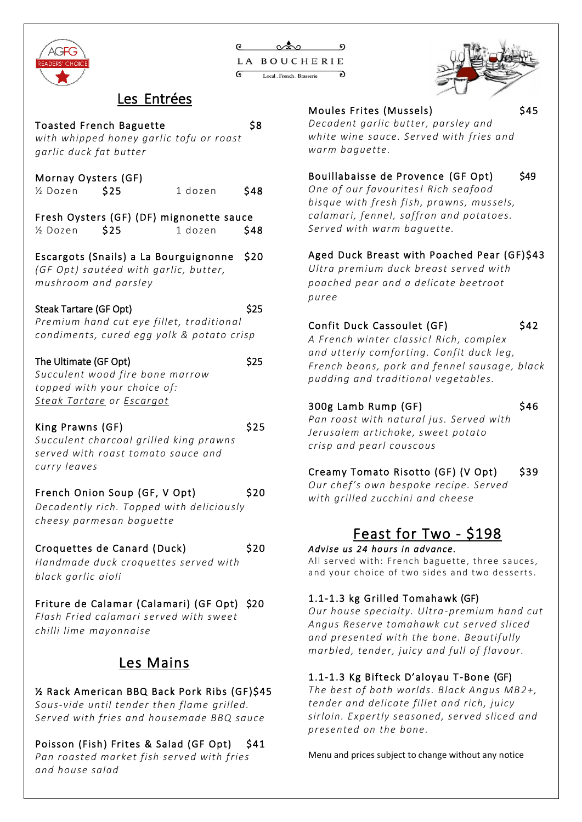

| റ          | ಯೊಂ                        |  |  |
|------------|----------------------------|--|--|
|            | LA BOUCHERIE               |  |  |
| $\epsilon$ | Local , French , Brasserie |  |  |



Toasted French Baguette 58 *with whipped honey garlic tofu or roast garlic duck fat butter* Mornay Oysters (GF) ½ Dozen \$25 1 dozen \$48 Fresh Oysters (GF) (DF) mignonette sauce  $\frac{1}{2}$  Dozen  $\frac{1}{2}$  dozen  $\frac{1}{2}$ Escargots (Snails) a La Bourguignonne \$20 *(GF Opt) sautéed with garlic, butter, mushroom and parsley* Steak Tartare (GF Opt) \$25 *Premium hand cut eye fillet, traditional condiments, cured egg yolk & potato crisp* The Ultimate (GF Opt)  $$25$ *Succulent wood fire bone marrow topped with your choice of: Steak Tartare or Escargot* King Prawns (GF) \$25 *Succulent charcoal grilled king prawns served with roast tomato sauce and curry leaves* French Onion Soup (GF, V Opt) \$20 *Decadently rich. Topped with deliciously cheesy parmesan baguette*  Croquettes de Canard (Duck) \$20 *Handmade duck croquettes served with black garlic aioli*  Friture de Calamar (Calamari) (GF Opt) \$20 *Flash Fried calamari served with sweet chilli lime mayonnaise*

### Les Mains

½ Rack American BBQ Back Pork Ribs (GF)\$45 *Sous-vide until tender then flame grilled.* 

*Served with fries and housemade BBQ sauce*

Poisson (Fish) Frites & Salad (GF Opt) \$41 *Pan roasted market fish served with fries and house salad*

Moules Frites (Mussels)  $$45$ 

#### *Decadent garlic butter, parsley and white wine sauce. Served with fries and warm baguette.*

#### Bouillabaisse de Provence (GF Opt) \$49

*One of our favourites! Rich seafood bisque with fresh fish, prawns, mussels, calamari, fennel, saffron and potatoes. Served with warm baguette.*

#### Aged Duck Breast with Poached Pear (GF)\$43

*Ultra premium duck breast served with poached pear and a delicate beetroot puree*

#### Confit Duck Cassoulet (GF) \$42

*A French winter classic! Rich, complex and utterly comforting. Confit duck leg, French beans, pork and fennel sausage, black pudding and traditional vegetables.*

### 300g Lamb Rump (GF) \$46

*Pan roast with natural jus. Served with Jerusalem artichoke, sweet potato crisp and pearl couscous*

#### Creamy Tomato Risotto (GF) (V Opt) \$39

*Our chef's own bespoke recipe. Served with grilled zucchini and cheese*

# Feast for Two - \$198

#### Advise *us* 24 hours in advance.

All served with: French baguette, three sauces, and your choice of two sides and two desserts.

#### 1.1-1.3 kg Grilled Tomahawk (GF)

*Our house specialty. Ultra-premium hand cut Angus Reserve tomahawk cut served sliced and presented with the bone. Beautifully marbled, tender, juicy and full of flavour.* 

#### 1.1-1.3 Kg Bifteck D'aloyau T -Bone (GF)

*The best of both worlds. Black Angus MB2+, tender and delicate fillet and rich, juicy sirloin. Expertly seasoned, served sliced and presented on the bone.*

Menu and prices subject to change without any notice